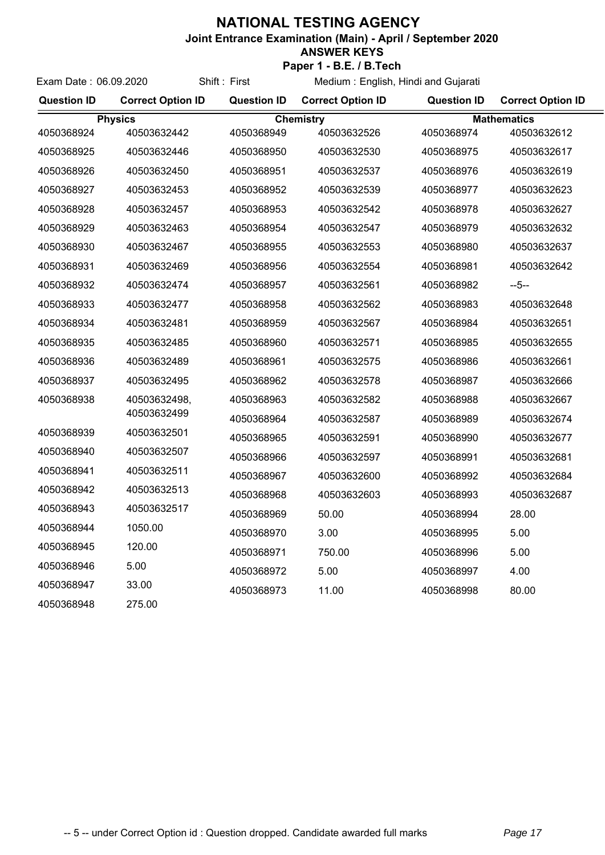## **NATIONAL TESTING AGENCY**

**Joint Entrance Examination (Main) - April / September 2020**

## **ANSWER KEYS Paper 1 - B.E. / B.Tech**

| Exam Date: 06.09.2020 |                             | Shift: First       | Medium: English, Hindi and Gujarati |                    |                          |
|-----------------------|-----------------------------|--------------------|-------------------------------------|--------------------|--------------------------|
| <b>Question ID</b>    | <b>Correct Option ID</b>    | <b>Question ID</b> | <b>Correct Option ID</b>            | <b>Question ID</b> | <b>Correct Option ID</b> |
| <b>Physics</b>        |                             | <b>Chemistry</b>   |                                     | <b>Mathematics</b> |                          |
| 4050368924            | 40503632442                 | 4050368949         | 40503632526                         | 4050368974         | 40503632612              |
| 4050368925            | 40503632446                 | 4050368950         | 40503632530                         | 4050368975         | 40503632617              |
| 4050368926            | 40503632450                 | 4050368951         | 40503632537                         | 4050368976         | 40503632619              |
| 4050368927            | 40503632453                 | 4050368952         | 40503632539                         | 4050368977         | 40503632623              |
| 4050368928            | 40503632457                 | 4050368953         | 40503632542                         | 4050368978         | 40503632627              |
| 4050368929            | 40503632463                 | 4050368954         | 40503632547                         | 4050368979         | 40503632632              |
| 4050368930            | 40503632467                 | 4050368955         | 40503632553                         | 4050368980         | 40503632637              |
| 4050368931            | 40503632469                 | 4050368956         | 40503632554                         | 4050368981         | 40503632642              |
| 4050368932            | 40503632474                 | 4050368957         | 40503632561                         | 4050368982         | $-5-$                    |
| 4050368933            | 40503632477                 | 4050368958         | 40503632562                         | 4050368983         | 40503632648              |
| 4050368934            | 40503632481                 | 4050368959         | 40503632567                         | 4050368984         | 40503632651              |
| 4050368935            | 40503632485                 | 4050368960         | 40503632571                         | 4050368985         | 40503632655              |
| 4050368936            | 40503632489                 | 4050368961         | 40503632575                         | 4050368986         | 40503632661              |
| 4050368937            | 40503632495                 | 4050368962         | 40503632578                         | 4050368987         | 40503632666              |
| 4050368938            | 40503632498,<br>40503632499 | 4050368963         | 40503632582                         | 4050368988         | 40503632667              |
|                       |                             | 4050368964         | 40503632587                         | 4050368989         | 40503632674              |
| 4050368939            | 40503632501                 | 4050368965         | 40503632591                         | 4050368990         | 40503632677              |
| 4050368940            | 40503632507                 | 4050368966         | 40503632597                         | 4050368991         | 40503632681              |
| 4050368941            | 40503632511                 | 4050368967         | 40503632600                         | 4050368992         | 40503632684              |
| 4050368942            | 40503632513                 | 4050368968         | 40503632603                         | 4050368993         | 40503632687              |
| 4050368943            | 40503632517                 | 4050368969         | 50.00                               | 4050368994         | 28.00                    |
| 4050368944            | 1050.00                     | 4050368970         | 3.00                                | 4050368995         | 5.00                     |
| 4050368945            | 120.00                      | 4050368971         | 750.00                              | 4050368996         | 5.00                     |
| 4050368946            | 5.00                        | 4050368972         | 5.00                                | 4050368997         | 4.00                     |
| 4050368947            | 33.00                       | 4050368973         | 11.00                               | 4050368998         | 80.00                    |
| 4050368948            | 275.00                      |                    |                                     |                    |                          |